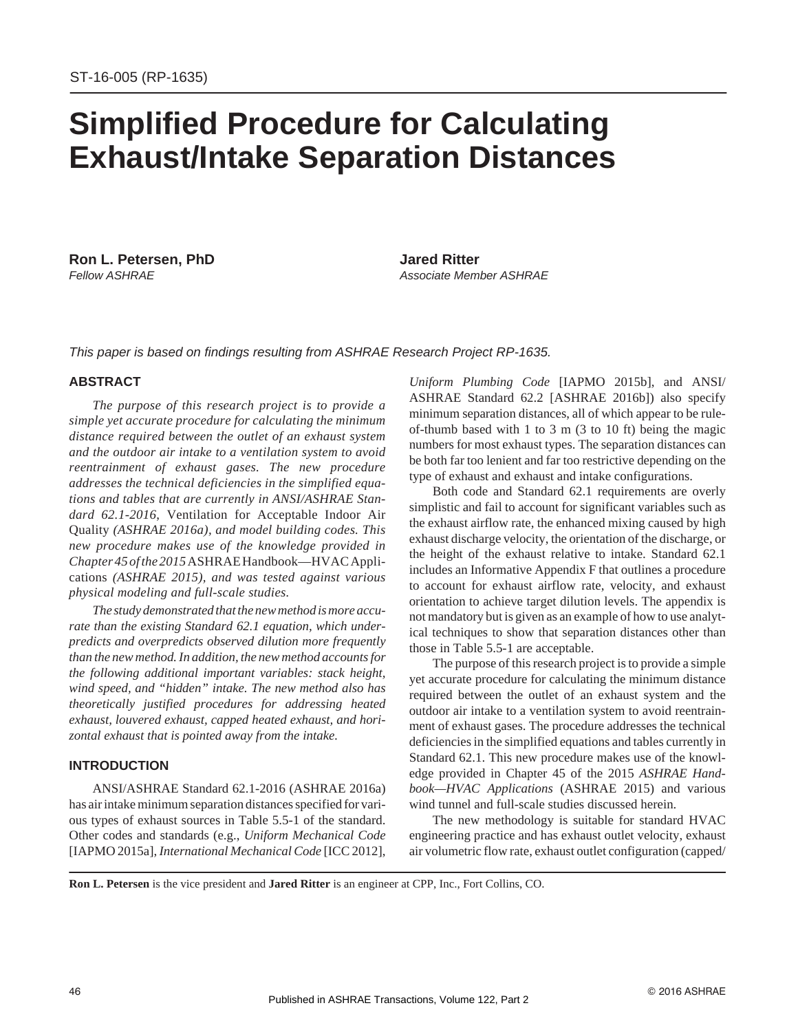# **Simplified Procedure for Calculating Exhaust/Intake Separation Distances**

**Ron L. Petersen, PhD Jared Ritter**

*Fellow ASHRAE Associate Member ASHRAE*

*This paper is based on findings resulting from ASHRAE Research Project RP-1635.*

## **ABSTRACT**

*The purpose of this research project is to provide a simple yet accurate procedure for calculating the minimum distance required between the outlet of an exhaust system and the outdoor air intake to a ventilation system to avoid reentrainment of exhaust gases. The new procedure addresses the technical deficiencies in the simplified equations and tables that are currently in ANSI/ASHRAE Standard 62.1-2016*, Ventilation for Acceptable Indoor Air Quality *(ASHRAE 2016a), and model building codes. This new procedure makes use of the knowledge provided in Chapter 45 ofthe 2015*ASHRAEHandbook—HVACApplications *(ASHRAE 2015), and was tested against various physical modeling and full-scale studies.*

The study demonstrated that the new method is more accu*rate than the existing Standard 62.1 equation, which underpredicts and overpredicts observed dilution more frequently than the new method. In addition, the new method accounts for the following additional important variables: stack height, wind speed, and "hidden" intake. The new method also has theoretically justified procedures for addressing heated exhaust, louvered exhaust, capped heated exhaust, and horizontal exhaust that is pointed away from the intake.*

## **INTRODUCTION**

ANSI/ASHRAE Standard 62.1-2016 (ASHRAE 2016a) has air intake minimum separation distances specified for various types of exhaust sources in Table 5.5-1 of the standard. Other codes and standards (e.g., *Uniform Mechanical Code* [IAPMO 2015a], *International Mechanical Code* [ICC 2012], *Uniform Plumbing Code* [IAPMO 2015b], and ANSI/ ASHRAE Standard 62.2 [ASHRAE 2016b]) also specify minimum separation distances, all of which appear to be ruleof-thumb based with 1 to 3 m (3 to 10 ft) being the magic numbers for most exhaust types. The separation distances can be both far too lenient and far too restrictive depending on the type of exhaust and exhaust and intake configurations.

Both code and Standard 62.1 requirements are overly simplistic and fail to account for significant variables such as the exhaust airflow rate, the enhanced mixing caused by high exhaust discharge velocity, the orientation of the discharge, or the height of the exhaust relative to intake. Standard 62.1 includes an Informative Appendix F that outlines a procedure to account for exhaust airflow rate, velocity, and exhaust orientation to achieve target dilution levels. The appendix is not mandatory but is given as an example of how to use analytical techniques to show that separation distances other than those in Table 5.5-1 are acceptable.

The purpose of this research project is to provide a simple yet accurate procedure for calculating the minimum distance required between the outlet of an exhaust system and the outdoor air intake to a ventilation system to avoid reentrainment of exhaust gases. The procedure addresses the technical deficiencies in the simplified equations and tables currently in Standard 62.1. This new procedure makes use of the knowledge provided in Chapter 45 of the 2015 *ASHRAE Handbook—HVAC Applications* (ASHRAE 2015) and various wind tunnel and full-scale studies discussed herein.

The new methodology is suitable for standard HVAC engineering practice and has exhaust outlet velocity, exhaust air volumetric flow rate, exhaust outlet configuration (capped/

**Ron L. Petersen** is the vice president and **Jared Ritter** is an engineer at CPP, Inc., Fort Collins, CO.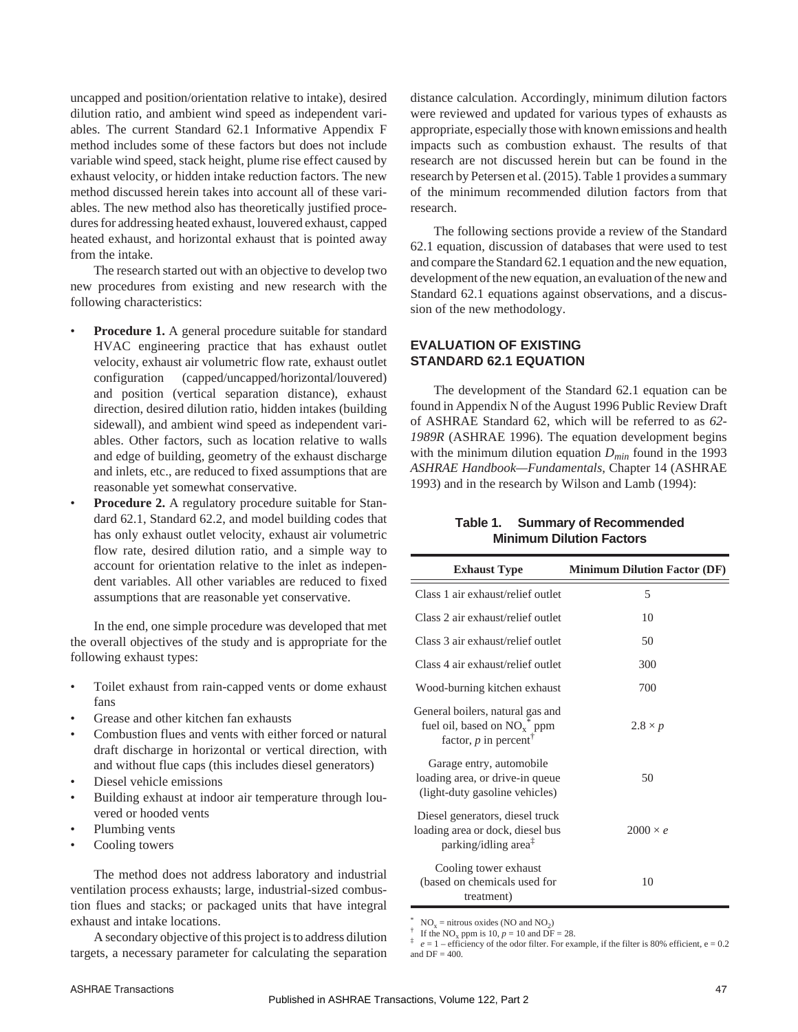uncapped and position/orientation relative to intake), desired dilution ratio, and ambient wind speed as independent variables. The current Standard 62.1 Informative Appendix F method includes some of these factors but does not include variable wind speed, stack height, plume rise effect caused by exhaust velocity, or hidden intake reduction factors. The new method discussed herein takes into account all of these variables. The new method also has theoretically justified procedures for addressing heated exhaust, louvered exhaust, capped heated exhaust, and horizontal exhaust that is pointed away from the intake.

The research started out with an objective to develop two new procedures from existing and new research with the following characteristics:

- **Procedure 1.** A general procedure suitable for standard HVAC engineering practice that has exhaust outlet velocity, exhaust air volumetric flow rate, exhaust outlet configuration (capped/uncapped/horizontal/louvered) and position (vertical separation distance), exhaust direction, desired dilution ratio, hidden intakes (building sidewall), and ambient wind speed as independent variables. Other factors, such as location relative to walls and edge of building, geometry of the exhaust discharge and inlets, etc., are reduced to fixed assumptions that are reasonable yet somewhat conservative.
- **Procedure 2.** A regulatory procedure suitable for Standard 62.1, Standard 62.2, and model building codes that has only exhaust outlet velocity, exhaust air volumetric flow rate, desired dilution ratio, and a simple way to account for orientation relative to the inlet as independent variables. All other variables are reduced to fixed assumptions that are reasonable yet conservative.

In the end, one simple procedure was developed that met the overall objectives of the study and is appropriate for the following exhaust types:

- Toilet exhaust from rain-capped vents or dome exhaust fans
- Grease and other kitchen fan exhausts
- Combustion flues and vents with either forced or natural draft discharge in horizontal or vertical direction, with and without flue caps (this includes diesel generators)
- Diesel vehicle emissions
- Building exhaust at indoor air temperature through louvered or hooded vents
- Plumbing vents
- Cooling towers

The method does not address laboratory and industrial ventilation process exhausts; large, industrial-sized combustion flues and stacks; or packaged units that have integral exhaust and intake locations.

A secondary objective of this project is to address dilution targets, a necessary parameter for calculating the separation

distance calculation. Accordingly, minimum dilution factors were reviewed and updated for various types of exhausts as appropriate, especially those with known emissions and health impacts such as combustion exhaust. The results of that research are not discussed herein but can be found in the research by Petersen et al. (2015). Table 1 provides a summary of the minimum recommended dilution factors from that research.

The following sections provide a review of the Standard 62.1 equation, discussion of databases that were used to test and compare the Standard 62.1 equation and the new equation, development of the new equation, an evaluation of the new and Standard 62.1 equations against observations, and a discussion of the new methodology.

# **EVALUATION OF EXISTING STANDARD 62.1 EQUATION**

The development of the Standard 62.1 equation can be found in Appendix N of the August 1996 Public Review Draft of ASHRAE Standard 62, which will be referred to as *62- 1989R* (ASHRAE 1996). The equation development begins with the minimum dilution equation  $D_{min}$  found in the 1993 *ASHRAE Handbook—Fundamentals*, Chapter 14 (ASHRAE 1993) and in the research by Wilson and Lamb (1994):

# **Table 1. Summary of Recommended Minimum Dilution Factors**

| <b>Exhaust Type</b>                                                                                        | <b>Minimum Dilution Factor (DF)</b> |
|------------------------------------------------------------------------------------------------------------|-------------------------------------|
| Class 1 air exhaust/relief outlet                                                                          | 5                                   |
| Class 2 air exhaust/relief outlet                                                                          | 10                                  |
| Class 3 air exhaust/relief outlet                                                                          | 50                                  |
| Class 4 air exhaust/relief outlet                                                                          | 300                                 |
| Wood-burning kitchen exhaust                                                                               | 700                                 |
| General boilers, natural gas and<br>fuel oil, based on $NO_x^*$ ppm<br>factor, $p$ in percent <sup>†</sup> | $2.8 \times p$                      |
| Garage entry, automobile<br>loading area, or drive-in queue<br>(light-duty gasoline vehicles)              | 50                                  |
| Diesel generators, diesel truck<br>loading area or dock, diesel bus<br>parking/idling area <sup>‡</sup>    | $2000 \times e$                     |
| Cooling tower exhaust<br>(based on chemicals used for<br>treatment)                                        | 10                                  |

\* NO<sub>x</sub> = nitrous oxides (NO and NO<sub>2</sub>)<br>
<sup>†</sup> If the NO<sub>x</sub> ppm is 10, *p* = 10 and DF = 28.<br>
<sup>‡</sup> a = 1, officionau of the oder filter. For axe

 $e = 1 - \text{efficiency of the odor filter.}$  For example, if the filter is 80% efficient, e = 0.2 and  $DF = 400$ .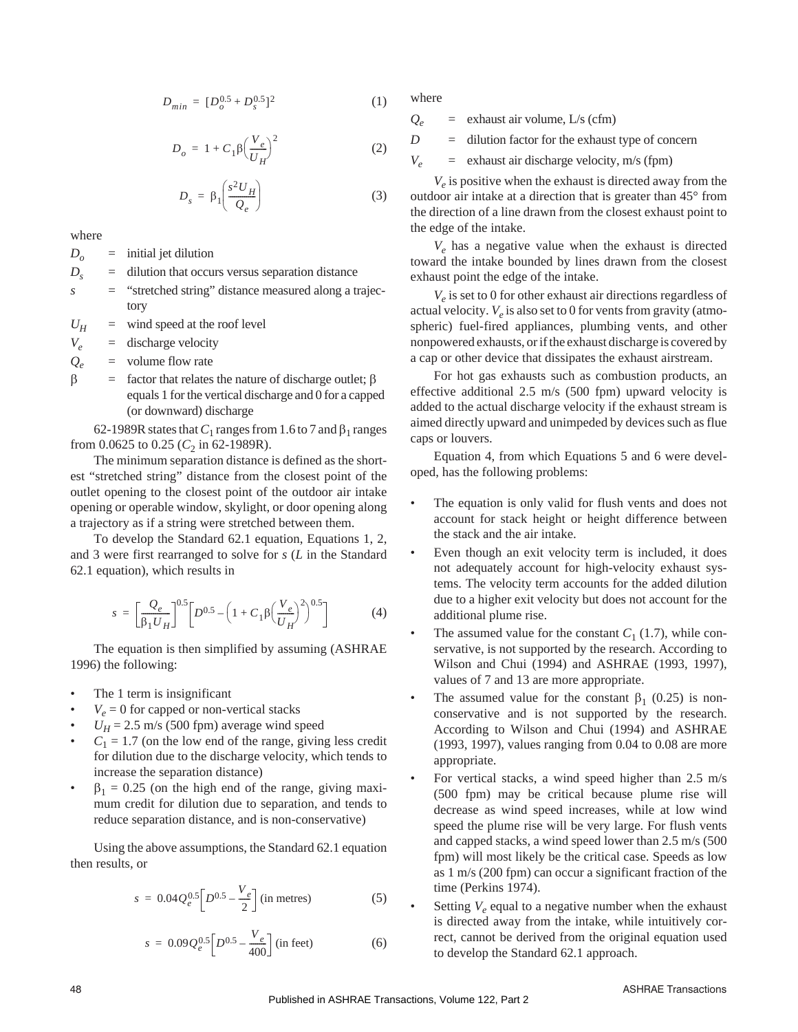$$
D_{min} = [D_o^{0.5} + D_s^{0.5}]^2 \tag{1}
$$

$$
D_o = 1 + C_1 \beta \left(\frac{V_e}{U_H}\right)^2 \tag{2}
$$

$$
D_s = \beta_1 \left( \frac{s^2 U_H}{Q_e} \right) \tag{3}
$$

where

 $D_{\alpha}$  = initial jet dilution

- $D_s$  = dilution that occurs versus separation distance
- *s* = "stretched string" distance measured along a trajectory

 $U_H$  = wind speed at the roof level

 $V_e$  = discharge velocity

 $Q_e$  = volume flow rate

 $\beta$  = factor that relates the nature of discharge outlet;  $\beta$ equals 1 for the vertical discharge and 0 for a capped (or downward) discharge

62-1989R states that  $C_1$  ranges from 1.6 to 7 and  $\beta_1$  ranges from 0.0625 to 0.25 ( $C_2$  in 62-1989R).

The minimum separation distance is defined as the shortest "stretched string" distance from the closest point of the outlet opening to the closest point of the outdoor air intake opening or operable window, skylight, or door opening along a trajectory as if a string were stretched between them.

To develop the Standard 62.1 equation, Equations 1, 2, and 3 were first rearranged to solve for *s* (*L* in the Standard 62.1 equation), which results in

$$
s = \left[\frac{Q_e}{\beta_1 U_H}\right]^{0.5} \left[D^{0.5} - \left(1 + C_1 \beta \left(\frac{V_e}{U_H}\right)^2\right)^{0.5}\right] \tag{4}
$$

The equation is then simplified by assuming (ASHRAE 1996) the following:

- The 1 term is insignificant
- $V_e = 0$  for capped or non-vertical stacks
- $U_H$  = 2.5 m/s (500 fpm) average wind speed
- $C_1 = 1.7$  (on the low end of the range, giving less credit for dilution due to the discharge velocity, which tends to increase the separation distance)
- $\beta_1 = 0.25$  (on the high end of the range, giving maximum credit for dilution due to separation, and tends to reduce separation distance, and is non-conservative)

Using the above assumptions, the Standard 62.1 equation then results, or

$$
s = 0.04 Q_e^{0.5} \Big[ D^{0.5} - \frac{V_e}{2} \Big] \text{ (in metres)}
$$
 (5)

$$
s = 0.09 Q_e^{0.5} \left[ D^{0.5} - \frac{V_e}{400} \right] \text{ (in feet)} \tag{6}
$$

where

 $Q_e$  = exhaust air volume, L/s (cfm)

 $D =$  dilution factor for the exhaust type of concern

 $V_e$  = exhaust air discharge velocity, m/s (fpm)

 $V_e$  is positive when the exhaust is directed away from the outdoor air intake at a direction that is greater than 45° from the direction of a line drawn from the closest exhaust point to the edge of the intake.

 $V_e$  has a negative value when the exhaust is directed toward the intake bounded by lines drawn from the closest exhaust point the edge of the intake.

 $V_e$  is set to 0 for other exhaust air directions regardless of actual velocity.  $V_e$  is also set to 0 for vents from gravity (atmospheric) fuel-fired appliances, plumbing vents, and other nonpowered exhausts, or if the exhaust discharge is covered by a cap or other device that dissipates the exhaust airstream.

For hot gas exhausts such as combustion products, an effective additional 2.5 m/s (500 fpm) upward velocity is added to the actual discharge velocity if the exhaust stream is aimed directly upward and unimpeded by devices such as flue caps or louvers.

Equation 4, from which Equations 5 and 6 were developed, has the following problems:

- The equation is only valid for flush vents and does not account for stack height or height difference between the stack and the air intake.
- Even though an exit velocity term is included, it does not adequately account for high-velocity exhaust systems. The velocity term accounts for the added dilution due to a higher exit velocity but does not account for the additional plume rise.
- The assumed value for the constant  $C_1$  (1.7), while conservative, is not supported by the research. According to Wilson and Chui (1994) and ASHRAE (1993, 1997), values of 7 and 13 are more appropriate.
- The assumed value for the constant  $\beta_1$  (0.25) is nonconservative and is not supported by the research. According to Wilson and Chui (1994) and ASHRAE (1993, 1997), values ranging from 0.04 to 0.08 are more appropriate.
- For vertical stacks, a wind speed higher than 2.5 m/s (500 fpm) may be critical because plume rise will decrease as wind speed increases, while at low wind speed the plume rise will be very large. For flush vents and capped stacks, a wind speed lower than 2.5 m/s (500 fpm) will most likely be the critical case. Speeds as low as 1 m/s (200 fpm) can occur a significant fraction of the time (Perkins 1974).
- Setting  $V_e$  equal to a negative number when the exhaust is directed away from the intake, while intuitively correct, cannot be derived from the original equation used to develop the Standard 62.1 approach.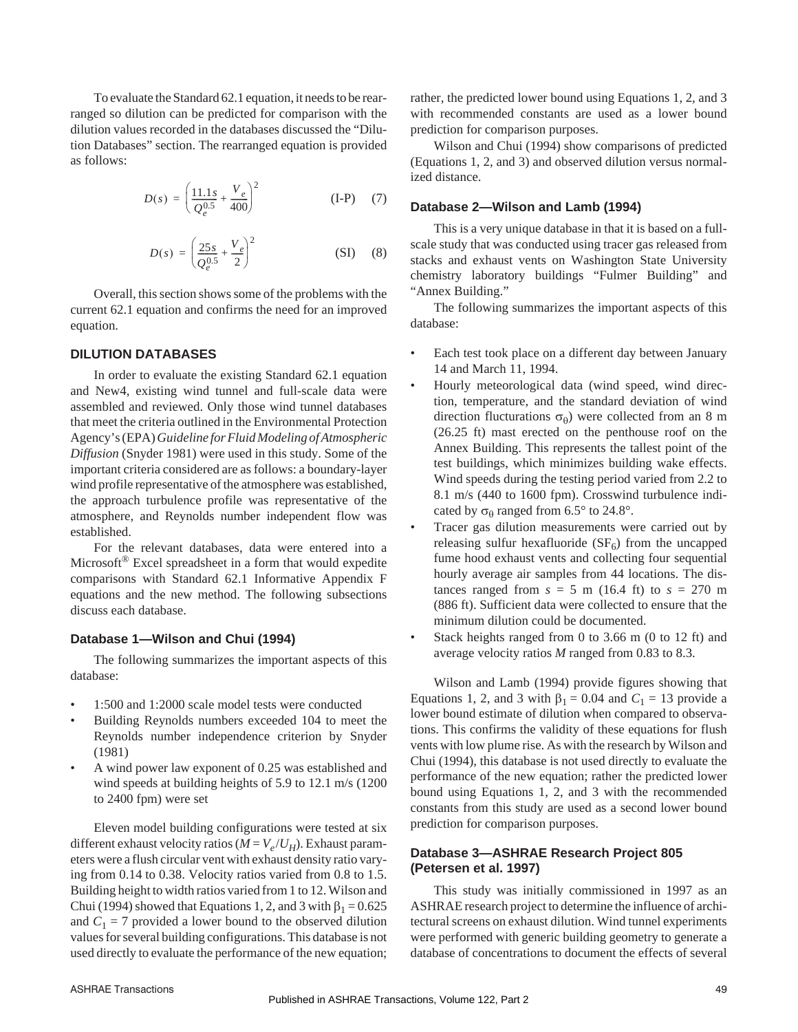To evaluate the Standard 62.1 equation, it needs to be rearranged so dilution can be predicted for comparison with the dilution values recorded in the databases discussed the "Dilution Databases" section. The rearranged equation is provided as follows:

$$
D(s) = \left(\frac{11.1s}{Q_e^{0.5}} + \frac{V_e}{400}\right)^2
$$
 (I-P) (7)

$$
D(s) = \left(\frac{25s}{Q_e^{0.5}} + \frac{V_e}{2}\right)^2
$$
 (SI) (8)

Overall, this section shows some of the problems with the current 62.1 equation and confirms the need for an improved equation.

## **DILUTION DATABASES**

In order to evaluate the existing Standard 62.1 equation and New4, existing wind tunnel and full-scale data were assembled and reviewed. Only those wind tunnel databases that meet the criteria outlined in the Environmental Protection Agency's (EPA)*Guidelinefor FluidModeling of Atmospheric Diffusion* (Snyder 1981) were used in this study. Some of the important criteria considered are as follows: a boundary-layer wind profile representative of the atmosphere was established, the approach turbulence profile was representative of the atmosphere, and Reynolds number independent flow was established.

For the relevant databases, data were entered into a Microsoft® Excel spreadsheet in a form that would expedite comparisons with Standard 62.1 Informative Appendix F equations and the new method. The following subsections discuss each database.

## **Database 1—Wilson and Chui (1994)**

The following summarizes the important aspects of this database:

- 1:500 and 1:2000 scale model tests were conducted
- Building Reynolds numbers exceeded 104 to meet the Reynolds number independence criterion by Snyder (1981)
- A wind power law exponent of 0.25 was established and wind speeds at building heights of 5.9 to 12.1 m/s (1200 to 2400 fpm) were set

Eleven model building configurations were tested at six different exhaust velocity ratios ( $M = V_e / U_H$ ). Exhaust parameters were a flush circular vent with exhaust density ratio varying from 0.14 to 0.38. Velocity ratios varied from 0.8 to 1.5. Building height to width ratios varied from 1 to 12.Wilson and Chui (1994) showed that Equations 1, 2, and 3 with  $\beta_1 = 0.625$ and  $C_1 = 7$  provided a lower bound to the observed dilution values for several building configurations. This database is not used directly to evaluate the performance of the new equation; rather, the predicted lower bound using Equations 1, 2, and 3 with recommended constants are used as a lower bound prediction for comparison purposes.

Wilson and Chui (1994) show comparisons of predicted (Equations 1, 2, and 3) and observed dilution versus normalized distance.

## **Database 2—Wilson and Lamb (1994)**

This is a very unique database in that it is based on a fullscale study that was conducted using tracer gas released from stacks and exhaust vents on Washington State University chemistry laboratory buildings "Fulmer Building" and "Annex Building."

The following summarizes the important aspects of this database:

- Each test took place on a different day between January 14 and March 11, 1994.
- Hourly meteorological data (wind speed, wind direction, temperature, and the standard deviation of wind direction flucturations  $\sigma_{\theta}$ ) were collected from an 8 m (26.25 ft) mast erected on the penthouse roof on the Annex Building. This represents the tallest point of the test buildings, which minimizes building wake effects. Wind speeds during the testing period varied from 2.2 to 8.1 m/s (440 to 1600 fpm). Crosswind turbulence indicated by  $\sigma_{\theta}$  ranged from 6.5° to 24.8°.
- Tracer gas dilution measurements were carried out by releasing sulfur hexafluoride  $(SF_6)$  from the uncapped fume hood exhaust vents and collecting four sequential hourly average air samples from 44 locations. The distances ranged from  $s = 5$  m (16.4 ft) to  $s = 270$  m (886 ft). Sufficient data were collected to ensure that the minimum dilution could be documented.
- Stack heights ranged from 0 to 3.66 m (0 to 12 ft) and average velocity ratios *M* ranged from 0.83 to 8.3.

Wilson and Lamb (1994) provide figures showing that Equations 1, 2, and 3 with  $\beta_1 = 0.04$  and  $C_1 = 13$  provide a lower bound estimate of dilution when compared to observations. This confirms the validity of these equations for flush vents with low plume rise. As with the research by Wilson and Chui (1994), this database is not used directly to evaluate the performance of the new equation; rather the predicted lower bound using Equations 1, 2, and 3 with the recommended constants from this study are used as a second lower bound prediction for comparison purposes.

# **Database 3—ASHRAE Research Project 805 (Petersen et al. 1997)**

This study was initially commissioned in 1997 as an ASHRAE research project to determine the influence of architectural screens on exhaust dilution. Wind tunnel experiments were performed with generic building geometry to generate a database of concentrations to document the effects of several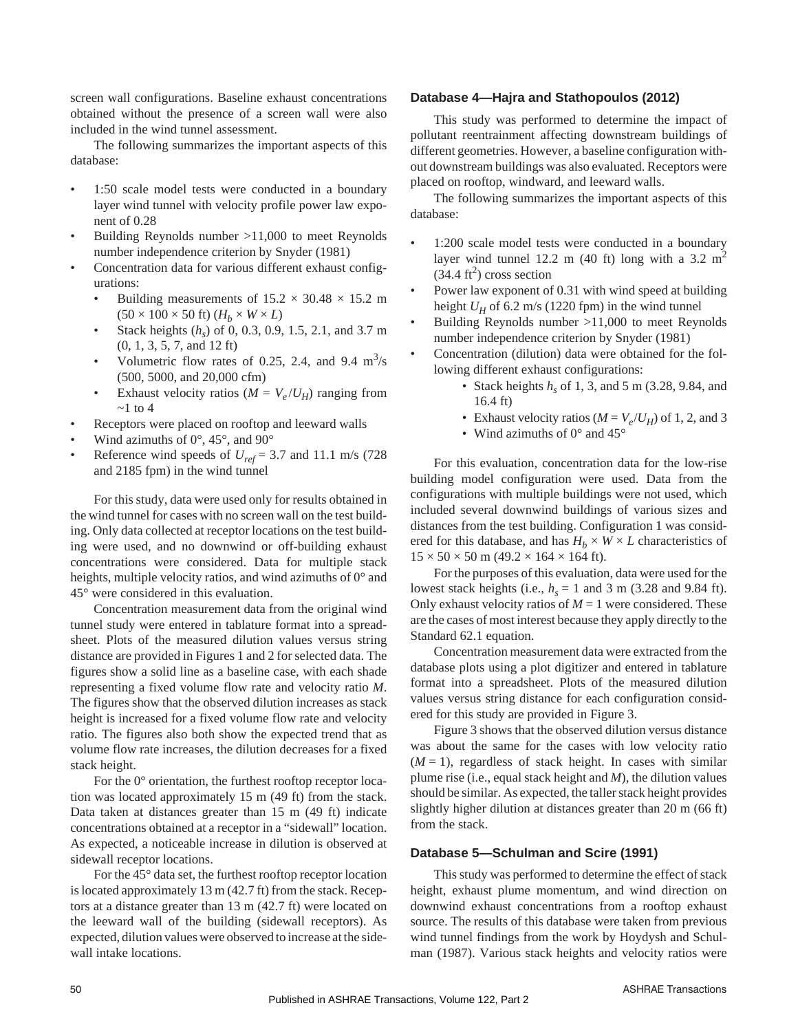screen wall configurations. Baseline exhaust concentrations obtained without the presence of a screen wall were also included in the wind tunnel assessment.

The following summarizes the important aspects of this database:

- 1:50 scale model tests were conducted in a boundary layer wind tunnel with velocity profile power law exponent of 0.28
- Building Reynolds number >11,000 to meet Reynolds number independence criterion by Snyder (1981)
- Concentration data for various different exhaust configurations:
	- Building measurements of  $15.2 \times 30.48 \times 15.2$  m  $(50 \times 100 \times 50 \text{ ft})$   $(H_h \times W \times L)$
	- Stack heights (*hs*) of 0, 0.3, 0.9, 1.5, 2.1, and 3.7 m (0, 1, 3, 5, 7, and 12 ft)
	- Volumetric flow rates of 0.25, 2.4, and 9.4  $\text{m}^3\text{/s}$ (500, 5000, and 20,000 cfm)
	- Exhaust velocity ratios ( $M = V_e / U_H$ ) ranging from  $\sim$ 1 to 4
- Receptors were placed on rooftop and leeward walls
- Wind azimuths of  $0^\circ$ , 45°, and  $90^\circ$
- Reference wind speeds of  $U_{ref}$  = 3.7 and 11.1 m/s (728) and 2185 fpm) in the wind tunnel

For this study, data were used only for results obtained in the wind tunnel for cases with no screen wall on the test building. Only data collected at receptor locations on the test building were used, and no downwind or off-building exhaust concentrations were considered. Data for multiple stack heights, multiple velocity ratios, and wind azimuths of  $0^{\circ}$  and 45° were considered in this evaluation.

Concentration measurement data from the original wind tunnel study were entered in tablature format into a spreadsheet. Plots of the measured dilution values versus string distance are provided in Figures 1 and 2 for selected data. The figures show a solid line as a baseline case, with each shade representing a fixed volume flow rate and velocity ratio *M*. The figures show that the observed dilution increases as stack height is increased for a fixed volume flow rate and velocity ratio. The figures also both show the expected trend that as volume flow rate increases, the dilution decreases for a fixed stack height.

For the 0° orientation, the furthest rooftop receptor location was located approximately 15 m (49 ft) from the stack. Data taken at distances greater than 15 m (49 ft) indicate concentrations obtained at a receptor in a "sidewall" location. As expected, a noticeable increase in dilution is observed at sidewall receptor locations.

For the 45° data set, the furthest rooftop receptor location is located approximately 13 m (42.7 ft) from the stack. Receptors at a distance greater than 13 m (42.7 ft) were located on the leeward wall of the building (sidewall receptors). As expected, dilution values were observed to increase at the sidewall intake locations.

#### **Database 4—Hajra and Stathopoulos (2012)**

This study was performed to determine the impact of pollutant reentrainment affecting downstream buildings of different geometries. However, a baseline configuration without downstream buildings was also evaluated. Receptors were placed on rooftop, windward, and leeward walls.

The following summarizes the important aspects of this database:

- 1:200 scale model tests were conducted in a boundary layer wind tunnel 12.2 m (40 ft) long with a 3.2 m<sup>2</sup>  $(34.4 \text{ ft}^2)$  cross section
- Power law exponent of 0.31 with wind speed at building height  $U_H$  of 6.2 m/s (1220 fpm) in the wind tunnel
- Building Reynolds number >11,000 to meet Reynolds number independence criterion by Snyder (1981)
- Concentration (dilution) data were obtained for the following different exhaust configurations:
	- Stack heights  $h<sub>s</sub>$  of 1, 3, and 5 m (3.28, 9.84, and 16.4 ft)
	- Exhaust velocity ratios ( $M = V_e/U_H$ ) of 1, 2, and 3
	- Wind azimuths of  $0^{\circ}$  and  $45^{\circ}$

For this evaluation, concentration data for the low-rise building model configuration were used. Data from the configurations with multiple buildings were not used, which included several downwind buildings of various sizes and distances from the test building. Configuration 1 was considered for this database, and has  $H_b \times W \times L$  characteristics of  $15 \times 50 \times 50$  m (49.2  $\times$  164  $\times$  164 ft).

For the purposes of this evaluation, data were used for the lowest stack heights (i.e.,  $h_s = 1$  and 3 m (3.28 and 9.84 ft). Only exhaust velocity ratios of  $M = 1$  were considered. These are the cases of most interest because they apply directly to the Standard 62.1 equation.

Concentration measurement data were extracted from the database plots using a plot digitizer and entered in tablature format into a spreadsheet. Plots of the measured dilution values versus string distance for each configuration considered for this study are provided in Figure 3.

Figure 3 shows that the observed dilution versus distance was about the same for the cases with low velocity ratio  $(M = 1)$ , regardless of stack height. In cases with similar plume rise (i.e., equal stack height and *M*), the dilution values should be similar. As expected, the taller stack height provides slightly higher dilution at distances greater than 20 m (66 ft) from the stack.

## **Database 5—Schulman and Scire (1991)**

This study was performed to determine the effect of stack height, exhaust plume momentum, and wind direction on downwind exhaust concentrations from a rooftop exhaust source. The results of this database were taken from previous wind tunnel findings from the work by Hoydysh and Schulman (1987). Various stack heights and velocity ratios were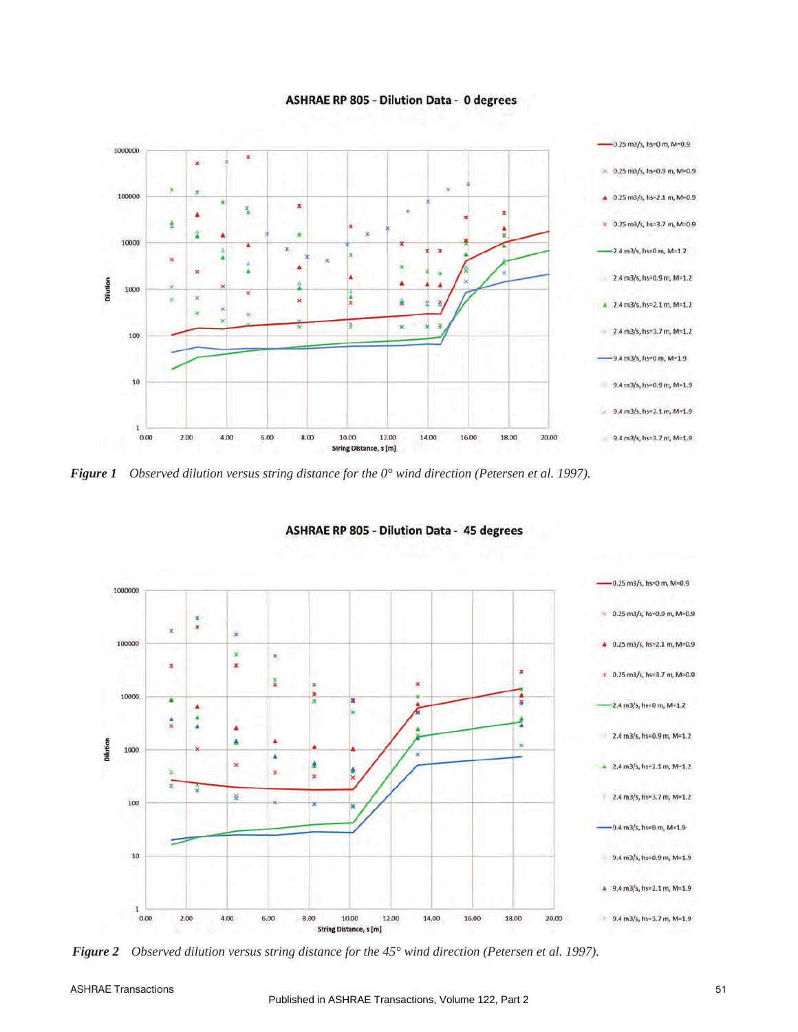**ASHRAE RP 805 - Dilution Data - 0 degrees** 



*Figure 1 Observed dilution versus string distance for the 0° wind direction (Petersen et al. 1997).*



**ASHRAE RP 805 - Dilution Data - 45 degrees** 

*Figure 2 Observed dilution versus string distance for the 45° wind direction (Petersen et al. 1997).*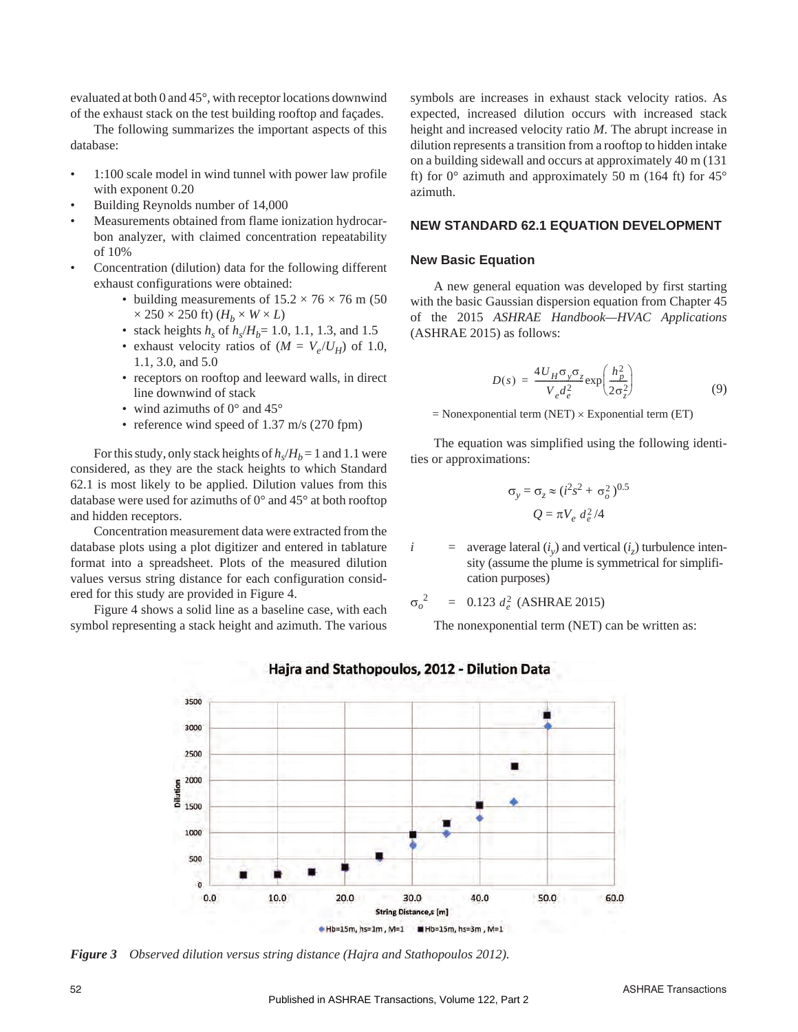evaluated at both 0 and 45°, with receptor locations downwind of the exhaust stack on the test building rooftop and façades.

The following summarizes the important aspects of this database:

- 1:100 scale model in wind tunnel with power law profile with exponent 0.20
- Building Reynolds number of 14,000
- Measurements obtained from flame ionization hydrocarbon analyzer, with claimed concentration repeatability of 10%
- Concentration (dilution) data for the following different exhaust configurations were obtained:
	- building measurements of  $15.2 \times 76 \times 76$  m (50  $\times$  250  $\times$  250 ft)  $(H_h \times W \times L)$
	- stack heights  $h_s$  of  $h_s/H_b = 1.0, 1.1, 1.3,$  and 1.5
	- exhaust velocity ratios of  $(M = V_e/U_H)$  of 1.0, 1.1, 3.0, and 5.0
	- receptors on rooftop and leeward walls, in direct line downwind of stack
	- wind azimuths of  $0^{\circ}$  and  $45^{\circ}$
	- reference wind speed of 1.37 m/s (270 fpm)

For this study, only stack heights of  $h_s/H_b = 1$  and 1.1 were considered, as they are the stack heights to which Standard 62.1 is most likely to be applied. Dilution values from this database were used for azimuths of 0° and 45° at both rooftop and hidden receptors.

Concentration measurement data were extracted from the database plots using a plot digitizer and entered in tablature format into a spreadsheet. Plots of the measured dilution values versus string distance for each configuration considered for this study are provided in Figure 4.

Figure 4 shows a solid line as a baseline case, with each symbol representing a stack height and azimuth. The various symbols are increases in exhaust stack velocity ratios. As expected, increased dilution occurs with increased stack height and increased velocity ratio *M*. The abrupt increase in dilution represents a transition from a rooftop to hidden intake on a building sidewall and occurs at approximately 40 m (131 ft) for  $0^{\circ}$  azimuth and approximately 50 m (164 ft) for  $45^{\circ}$ azimuth.

## **NEW STANDARD 62.1 EQUATION DEVELOPMENT**

## **New Basic Equation**

A new general equation was developed by first starting with the basic Gaussian dispersion equation from Chapter 45 of the 2015 *ASHRAE Handbook—HVAC Applications* (ASHRAE 2015) as follows:

$$
D(s) = \frac{4U_H \sigma_y \sigma_z}{V_e d_e^2} \exp\left(\frac{h_p^2}{2\sigma_z^2}\right)
$$
(9)

 $=$  Nonexponential term (NET)  $\times$  Exponential term (ET)

The equation was simplified using the following identities or approximations:

$$
\sigma_y = \sigma_z \approx (i^2 s^2 + \sigma_o^2)^{0.5}
$$

$$
Q = \pi V_e d_e^2 / 4
$$

 $i =$  average lateral  $(i<sub>s</sub>)$  and vertical  $(i<sub>s</sub>)$  turbulence intensity (assume the plume is symmetrical for simplification purposes)

 $\sigma_o^2$ <sup>2</sup> = 0.123  $d_e^2$  (ASHRAE 2015)

The nonexponential term (NET) can be written as:



# Hajra and Stathopoulos, 2012 - Dilution Data

*Figure 3 Observed dilution versus string distance (Hajra and Stathopoulos 2012).*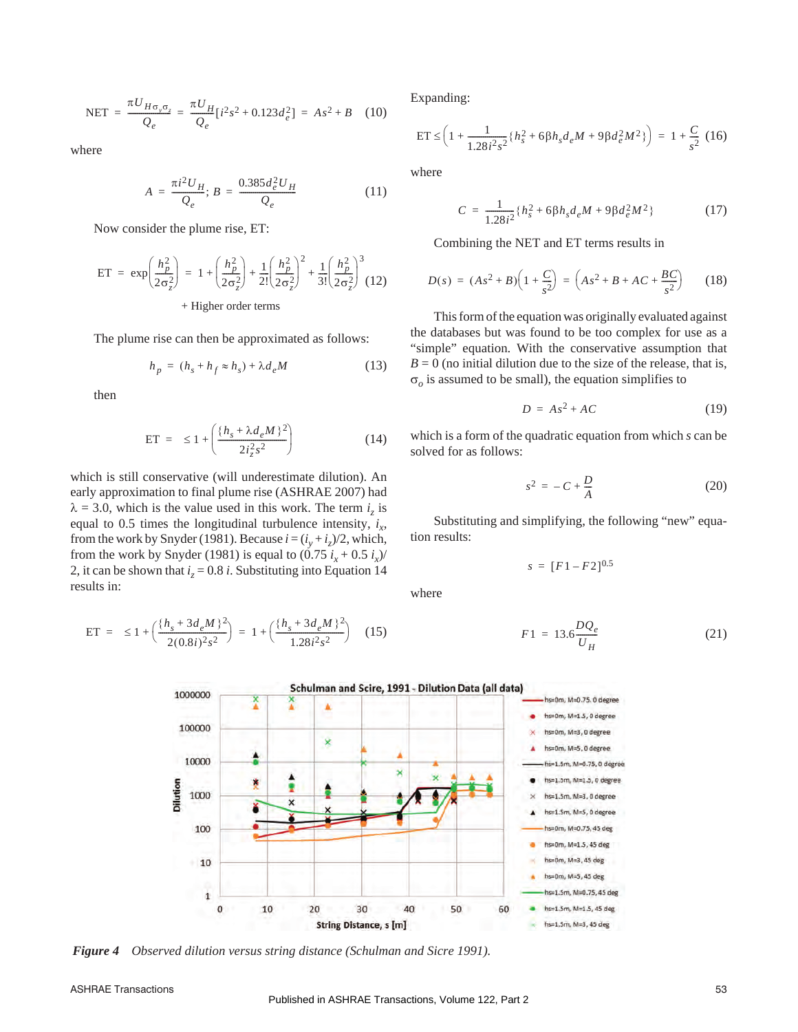$$
NET = \frac{\pi U_{H\sigma_y \sigma_z}}{Q_e} = \frac{\pi U_H}{Q_e} [i^2 s^2 + 0.123 d_e^2] = As^2 + B \quad (10)
$$

where

$$
A = \frac{\pi i^2 U_H}{Q_e}; B = \frac{0.385 d_e^2 U_H}{Q_e}
$$
 (11)

Now consider the plume rise, ET:

$$
ET = \exp\left(\frac{h_p^2}{2\sigma_z^2}\right) = 1 + \left(\frac{h_p^2}{2\sigma_z^2}\right) + \frac{1}{2!} \left(\frac{h_p^2}{2\sigma_z^2}\right)^2 + \frac{1}{3!} \left(\frac{h_p^2}{2\sigma_z^2}\right)^3
$$
  
+ Higher order terms

The plume rise can then be approximated as follows:

$$
h_p = (h_s + h_f \approx h_s) + \lambda d_e M \tag{13}
$$

then

$$
ET = \le 1 + \left( \frac{\{h_s + \lambda d_e M\}^2}{2i_s^2 s^2} \right) \tag{14}
$$

which is still conservative (will underestimate dilution). An early approximation to final plume rise (ASHRAE 2007) had  $\lambda = 3.0$ , which is the value used in this work. The term *i<sub>z</sub>* is equal to 0.5 times the longitudinal turbulence intensity,  $i_x$ , from the work by Snyder (1981). Because  $i = (i_y + i_z)/2$ , which, from the work by Snyder (1981) is equal to  $(0.75 i_x + 0.5 i_x)/$ 2, it can be shown that  $i<sub>z</sub> = 0.8$  *i*. Substituting into Equation 14 results in:

ET = 
$$
\leq 1 + \left( \frac{\{h_s + 3d_e M\}^2}{2(0.8i)^2 s^2} \right) = 1 + \left( \frac{\{h_s + 3d_e M\}^2}{1.28i^2 s^2} \right)
$$
 (15)

Expanding:

$$
ET \leq \left(1 + \frac{1}{1.28i^2s^2} \left\{ h_s^2 + 6\beta h_s d_e M + 9\beta d_e^2 M^2 \right\} \right) = 1 + \frac{C}{s^2} (16)
$$

where

$$
C = \frac{1}{1.28i^2} \{ h_s^2 + 6\beta h_s d_e M + 9\beta d_e^2 M^2 \}
$$
 (17)

Combining the NET and ET terms results in

$$
D(s) = (As^{2} + B)\left(1 + \frac{C}{s^{2}}\right) = \left(As^{2} + B + AC + \frac{BC}{s^{2}}\right)
$$
 (18)

This form of the equation was originally evaluated against the databases but was found to be too complex for use as a "simple" equation. With the conservative assumption that  $B = 0$  (no initial dilution due to the size of the release, that is,  $\sigma$ <sub>o</sub> is assumed to be small), the equation simplifies to

$$
D = As^2 + AC \tag{19}
$$

which is a form of the quadratic equation from which *s* can be solved for as follows:

$$
s^2 = -C + \frac{D}{A} \tag{20}
$$

Substituting and simplifying, the following "new" equation results:

$$
s = [F1 - F2]^{0.5}
$$

where

$$
F1 = 13.6 \frac{DQ_e}{U_H} \tag{21}
$$



*Figure 4 Observed dilution versus string distance (Schulman and Sicre 1991).*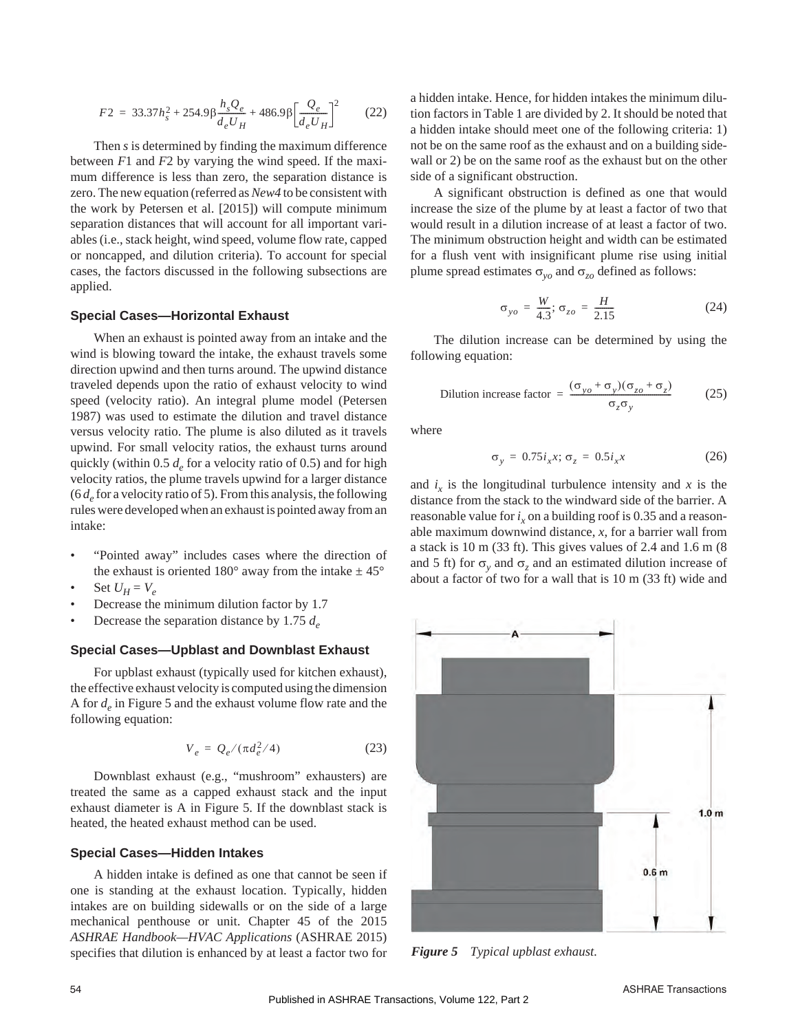$$
F2 = 33.37h_s^2 + 254.9\beta \frac{h_s Q_e}{d_e U_H} + 486.9\beta \left[\frac{Q_e}{d_e U_H}\right]^2 \tag{22}
$$

Then *s* is determined by finding the maximum difference between *F*1 and *F*2 by varying the wind speed. If the maximum difference is less than zero, the separation distance is zero. The new equation (referred as*New4* to be consistent with the work by Petersen et al. [2015]) will compute minimum separation distances that will account for all important variables (i.e., stack height, wind speed, volume flow rate, capped or noncapped, and dilution criteria). To account for special cases, the factors discussed in the following subsections are applied.

#### **Special Cases—Horizontal Exhaust**

When an exhaust is pointed away from an intake and the wind is blowing toward the intake, the exhaust travels some direction upwind and then turns around. The upwind distance traveled depends upon the ratio of exhaust velocity to wind speed (velocity ratio). An integral plume model (Petersen 1987) was used to estimate the dilution and travel distance versus velocity ratio. The plume is also diluted as it travels upwind. For small velocity ratios, the exhaust turns around quickly (within  $0.5 d<sub>e</sub>$  for a velocity ratio of 0.5) and for high velocity ratios, the plume travels upwind for a larger distance  $(6 d<sub>e</sub>$  for a velocity ratio of 5). From this analysis, the following rules were developed when an exhaust is pointed away from an intake:

- "Pointed away" includes cases where the direction of the exhaust is oriented 180 $^{\circ}$  away from the intake  $\pm 45^{\circ}$
- Set  $U_H = V_e$
- Decrease the minimum dilution factor by 1.7
- Decrease the separation distance by 1.75 *de*

## **Special Cases—Upblast and Downblast Exhaust**

For upblast exhaust (typically used for kitchen exhaust), the effective exhaust velocity is computed using the dimension A for *de* in Figure 5 and the exhaust volume flow rate and the following equation:

$$
V_e = Q_e / (\pi d_e^2 / 4)
$$
 (23)

Downblast exhaust (e.g., "mushroom" exhausters) are treated the same as a capped exhaust stack and the input exhaust diameter is A in Figure 5. If the downblast stack is heated, the heated exhaust method can be used.

#### **Special Cases—Hidden Intakes**

A hidden intake is defined as one that cannot be seen if one is standing at the exhaust location. Typically, hidden intakes are on building sidewalls or on the side of a large mechanical penthouse or unit. Chapter 45 of the 2015 *ASHRAE Handbook—HVAC Applications* (ASHRAE 2015) specifies that dilution is enhanced by at least a factor two for a hidden intake. Hence, for hidden intakes the minimum dilution factors in Table 1 are divided by 2. It should be noted that a hidden intake should meet one of the following criteria: 1) not be on the same roof as the exhaust and on a building sidewall or 2) be on the same roof as the exhaust but on the other side of a significant obstruction.

A significant obstruction is defined as one that would increase the size of the plume by at least a factor of two that would result in a dilution increase of at least a factor of two. The minimum obstruction height and width can be estimated for a flush vent with insignificant plume rise using initial plume spread estimates  $\sigma_{vo}$  and  $\sigma_{zo}$  defined as follows:

$$
\sigma_{yo} = \frac{W}{4.3}; \sigma_{zo} = \frac{H}{2.15}
$$
 (24)

The dilution increase can be determined by using the following equation:

Dilution increase factor = 
$$
\frac{(\sigma_{yo} + \sigma_y)(\sigma_{zo} + \sigma_z)}{\sigma_z \sigma_y}
$$
 (25)

where

$$
\sigma_y = 0.75i_x x; \sigma_z = 0.5i_x x \tag{26}
$$

and  $i_x$  is the longitudinal turbulence intensity and x is the distance from the stack to the windward side of the barrier. A reasonable value for  $i_x$  on a building roof is 0.35 and a reasonable maximum downwind distance, *x*, for a barrier wall from a stack is 10 m (33 ft). This gives values of 2.4 and 1.6 m (8 and 5 ft) for  $\sigma$ <sub>v</sub> and  $\sigma$ <sub>z</sub> and an estimated dilution increase of about a factor of two for a wall that is 10 m (33 ft) wide and



*Figure 5 Typical upblast exhaust.*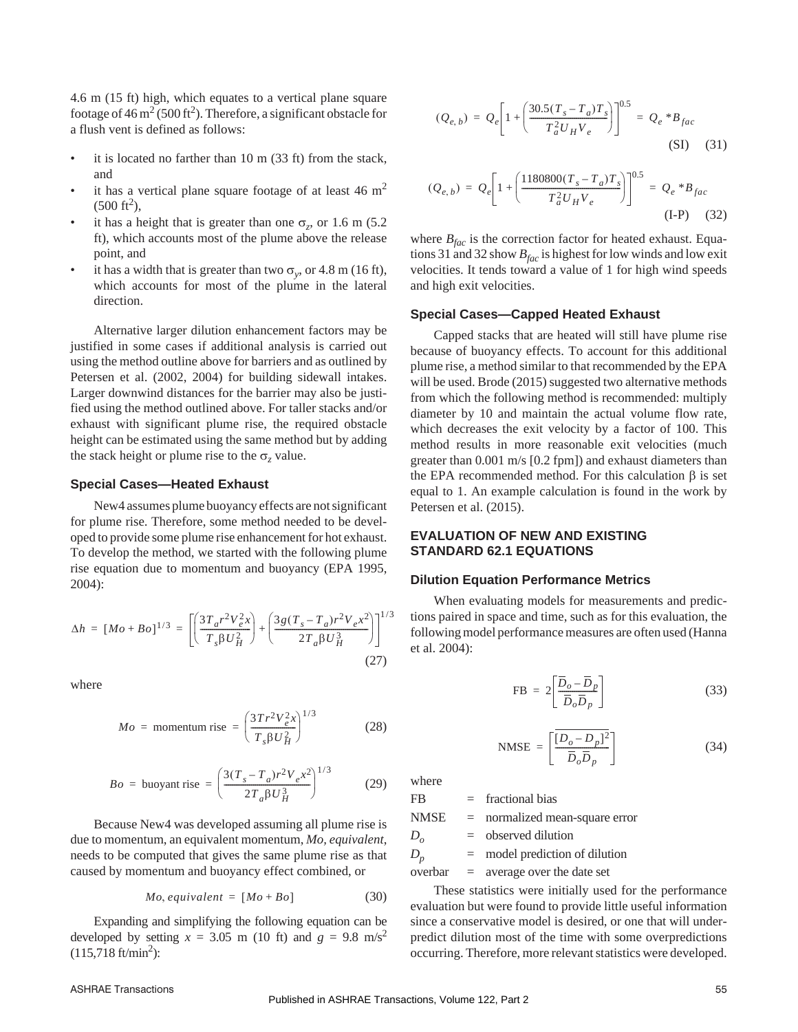4.6 m (15 ft) high, which equates to a vertical plane square footage of  $46 \text{ m}^2 (500 \text{ ft}^2)$ . Therefore, a significant obstacle for a flush vent is defined as follows:

- it is located no farther than  $10 \text{ m}$  (33 ft) from the stack, and
- it has a vertical plane square footage of at least  $46 \text{ m}^2$  $(500 \text{ ft}^2),$
- it has a height that is greater than one  $\sigma_z$ , or 1.6 m (5.2) ft), which accounts most of the plume above the release point, and
- it has a width that is greater than two  $\sigma_v$ , or 4.8 m (16 ft), which accounts for most of the plume in the lateral direction.

Alternative larger dilution enhancement factors may be justified in some cases if additional analysis is carried out using the method outline above for barriers and as outlined by Petersen et al. (2002, 2004) for building sidewall intakes. Larger downwind distances for the barrier may also be justified using the method outlined above. For taller stacks and/or exhaust with significant plume rise, the required obstacle height can be estimated using the same method but by adding the stack height or plume rise to the  $\sigma$ <sub>z</sub> value.

#### **Special Cases—Heated Exhaust**

New4 assumes plume buoyancy effects are not significant for plume rise. Therefore, some method needed to be developed to provide some plume rise enhancement for hot exhaust. To develop the method, we started with the following plume rise equation due to momentum and buoyancy (EPA 1995, 2004):

$$
\Delta h = [Mo + Bo]^{1/3} = \left[ \left( \frac{3T_a r^2 V_e^2 x}{T_s \beta U_H^2} \right) + \left( \frac{3g(T_s - T_a) r^2 V_e x^2}{2T_a \beta U_H^3} \right) \right]^{1/3}
$$
\n(27)

where

$$
Mo = \text{momentum rise} = \left(\frac{3Tr^2V_e^2x}{T_s\beta U_H^2}\right)^{1/3} \tag{28}
$$

$$
Bo = \text{buoyant rise} = \left(\frac{3(T_s - T_a)r^2V_e x^2}{2T_a \beta U_H^3}\right)^{1/3} \tag{29}
$$

Because New4 was developed assuming all plume rise is due to momentum, an equivalent momentum, *Mo, equivalent*, needs to be computed that gives the same plume rise as that caused by momentum and buoyancy effect combined, or

$$
Mo, equivalent = [Mo + Bo]
$$
 (30)

Expanding and simplifying the following equation can be developed by setting  $x = 3.05$  m (10 ft) and  $g = 9.8$  m/s<sup>2</sup>  $(115,718 \text{ ft/min}^2):$ 

$$
(Q_{e,b}) = Q_e \left[ 1 + \left( \frac{30.5(T_s - T_a)T_s}{T_a^2 U_H V_e} \right) \right]^{0.5} = Q_e * B_{fac}
$$
\n(SI) (31)

$$
(Q_{e,b}) = Q_e \left[ 1 + \left( \frac{1180800(T_s - T_a)T_s}{T_a^2 U_H V_e} \right) \right]^{0.5} = Q_e * B_{fac}
$$
\n
$$
(I-P) \quad (32)
$$

where  $B_{fac}$  is the correction factor for heated exhaust. Equations 31 and 32 show  $B_{fac}$  is highest for low winds and low exit velocities. It tends toward a value of 1 for high wind speeds and high exit velocities.

#### **Special Cases—Capped Heated Exhaust**

Capped stacks that are heated will still have plume rise because of buoyancy effects. To account for this additional plume rise, a method similar to that recommended by the EPA will be used. Brode (2015) suggested two alternative methods from which the following method is recommended: multiply diameter by 10 and maintain the actual volume flow rate, which decreases the exit velocity by a factor of 100. This method results in more reasonable exit velocities (much greater than 0.001 m/s [0.2 fpm]) and exhaust diameters than the EPA recommended method. For this calculation  $\beta$  is set equal to 1. An example calculation is found in the work by Petersen et al. (2015).

# **EVALUATION OF NEW AND EXISTING STANDARD 62.1 EQUATIONS**

#### **Dilution Equation Performance Metrics**

When evaluating models for measurements and predictions paired in space and time, such as for this evaluation, the following model performance measures are often used (Hanna et al. 2004):

$$
FB = 2\left[\frac{\overline{D}_o - \overline{D}_p}{\overline{D}_o \overline{D}_p}\right]
$$
 (33)

$$
\text{NMSE} = \left[ \frac{\overline{[D_o - D_p]^2}}{\overline{D}_o \overline{D}_p} \right] \tag{34}
$$

where

 $FB$  = fractional bias

NMSE = normalized mean-square error

*Do* = observed dilution

 $D_p$  = model prediction of dilution

 $overbar = a$  average over the date set

These statistics were initially used for the performance evaluation but were found to provide little useful information since a conservative model is desired, or one that will underpredict dilution most of the time with some overpredictions occurring. Therefore, more relevant statistics were developed.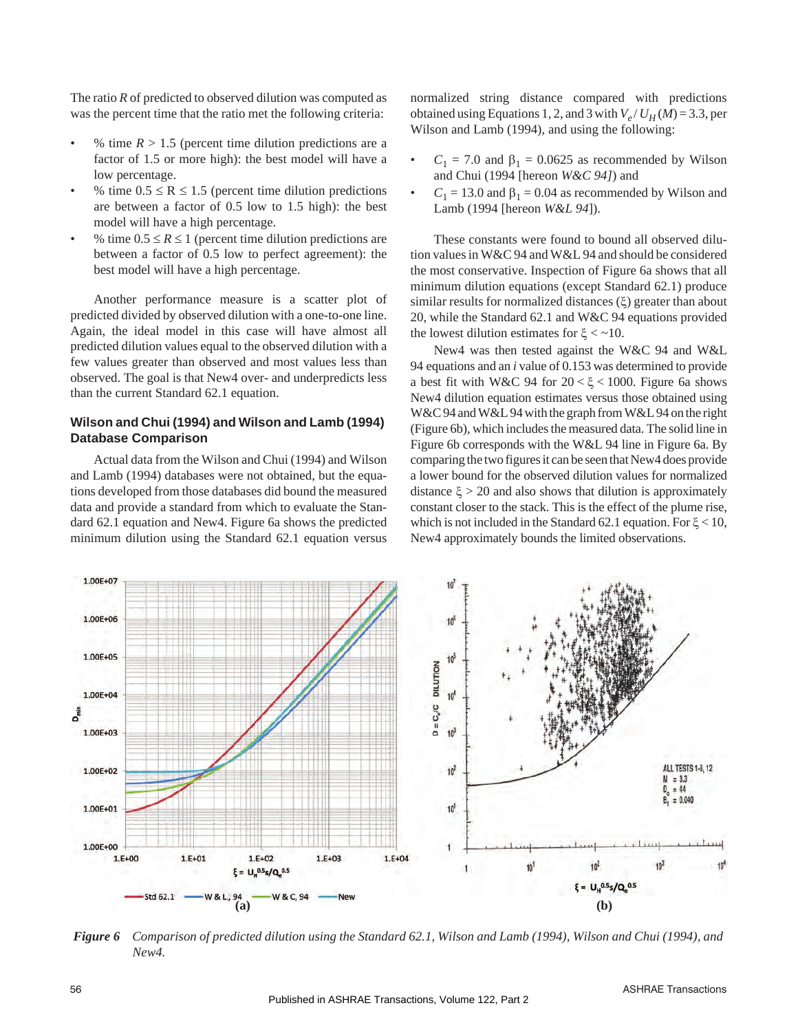The ratio *R* of predicted to observed dilution was computed as was the percent time that the ratio met the following criteria:

- % time  $R > 1.5$  (percent time dilution predictions are a factor of 1.5 or more high): the best model will have a low percentage.
- % time  $0.5 \le R \le 1.5$  (percent time dilution predictions are between a factor of 0.5 low to 1.5 high): the best model will have a high percentage.
- % time  $0.5 \le R \le 1$  (percent time dilution predictions are between a factor of 0.5 low to perfect agreement): the best model will have a high percentage.

Another performance measure is a scatter plot of predicted divided by observed dilution with a one-to-one line. Again, the ideal model in this case will have almost all predicted dilution values equal to the observed dilution with a few values greater than observed and most values less than observed. The goal is that New4 over- and underpredicts less than the current Standard 62.1 equation.

# **Wilson and Chui (1994) and Wilson and Lamb (1994) Database Comparison**

Actual data from the Wilson and Chui (1994) and Wilson and Lamb (1994) databases were not obtained, but the equations developed from those databases did bound the measured data and provide a standard from which to evaluate the Standard 62.1 equation and New4. Figure 6a shows the predicted minimum dilution using the Standard 62.1 equation versus normalized string distance compared with predictions obtained using Equations 1, 2, and 3 with  $V_e / U_H(M) = 3.3$ , per Wilson and Lamb (1994), and using the following:

- $C_1 = 7.0$  and  $\beta_1 = 0.0625$  as recommended by Wilson and Chui (1994 [hereon *W&C 94]*) and
- $C_1 = 13.0$  and  $\beta_1 = 0.04$  as recommended by Wilson and Lamb (1994 [hereon *W&L 94*]).

These constants were found to bound all observed dilution values in W&C 94 and W&L 94 and should be considered the most conservative. Inspection of Figure 6a shows that all minimum dilution equations (except Standard 62.1) produce similar results for normalized distances  $(\xi)$  greater than about 20, while the Standard 62.1 and W&C 94 equations provided the lowest dilution estimates for  $\zeta < -10$ .

New4 was then tested against the W&C 94 and W&L 94 equations and an *i* value of 0.153 was determined to provide a best fit with W&C 94 for  $20 < \xi < 1000$ . Figure 6a shows New4 dilution equation estimates versus those obtained using W&C 94 and W&L 94 with the graph from W&L 94 on the right (Figure 6b), which includes the measured data. The solid line in Figure 6b corresponds with the W&L 94 line in Figure 6a. By comparing the two figures it can be seen that New4 does provide a lower bound for the observed dilution values for normalized distance  $\xi > 20$  and also shows that dilution is approximately constant closer to the stack. This is the effect of the plume rise, which is not included in the Standard 62.1 equation. For  $\xi$  < 10, New4 approximately bounds the limited observations.



*Figure 6 Comparison of predicted dilution using the Standard 62.1, Wilson and Lamb (1994), Wilson and Chui (1994), and New4.*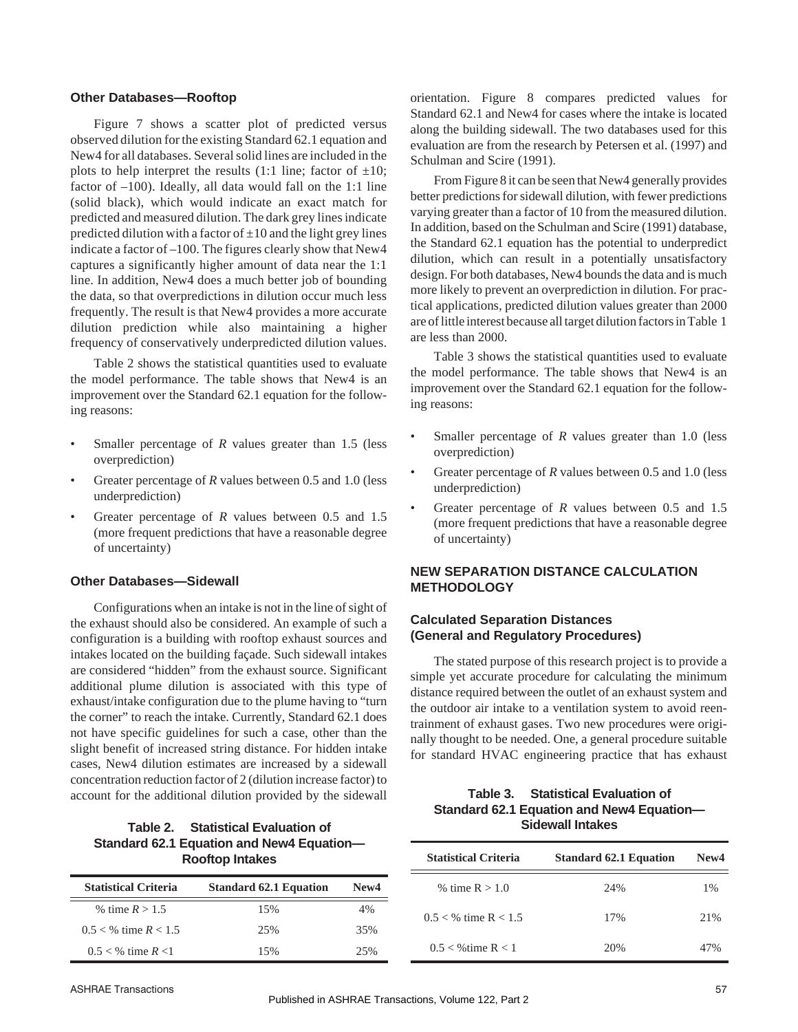#### **Other Databases—Rooftop**

Figure 7 shows a scatter plot of predicted versus observed dilution for the existing Standard 62.1 equation and New4 for all databases. Several solid lines are included in the plots to help interpret the results (1:1 line; factor of  $\pm 10$ ; factor of  $-100$ ). Ideally, all data would fall on the 1:1 line (solid black), which would indicate an exact match for predicted and measured dilution. The dark grey lines indicate predicted dilution with a factor of  $\pm 10$  and the light grey lines indicate a factor of –100. The figures clearly show that New4 captures a significantly higher amount of data near the 1:1 line. In addition, New4 does a much better job of bounding the data, so that overpredictions in dilution occur much less frequently. The result is that New4 provides a more accurate dilution prediction while also maintaining a higher frequency of conservatively underpredicted dilution values.

Table 2 shows the statistical quantities used to evaluate the model performance. The table shows that New4 is an improvement over the Standard 62.1 equation for the following reasons:

- Smaller percentage of *R* values greater than 1.5 (less overprediction)
- Greater percentage of *R* values between 0.5 and 1.0 (less underprediction)
- Greater percentage of *R* values between 0.5 and 1.5 (more frequent predictions that have a reasonable degree of uncertainty)

#### **Other Databases—Sidewall**

Configurations when an intake is not in the line of sight of the exhaust should also be considered. An example of such a configuration is a building with rooftop exhaust sources and intakes located on the building façade. Such sidewall intakes are considered "hidden" from the exhaust source. Significant additional plume dilution is associated with this type of exhaust/intake configuration due to the plume having to "turn the corner" to reach the intake. Currently, Standard 62.1 does not have specific guidelines for such a case, other than the slight benefit of increased string distance. For hidden intake cases, New4 dilution estimates are increased by a sidewall concentration reduction factor of 2 (dilution increase factor) to account for the additional dilution provided by the sidewall

## **Table 2. Statistical Evaluation of Standard 62.1 Equation and New4 Equation— Rooftop Intakes**

| <b>Statistical Criteria</b> | <b>Standard 62.1 Equation</b> | New <sub>4</sub> |
|-----------------------------|-------------------------------|------------------|
| % time $R > 1.5$            | 15%                           | 4%               |
| $0.5 <$ % time $R < 1.5$    | 25%                           | 35%              |
| $0.5 < \%$ time $R < 1$     | 15%                           | 25%              |

orientation. Figure 8 compares predicted values for Standard 62.1 and New4 for cases where the intake is located along the building sidewall. The two databases used for this evaluation are from the research by Petersen et al. (1997) and Schulman and Scire (1991).

From Figure 8 it can be seen that New4 generally provides better predictions for sidewall dilution, with fewer predictions varying greater than a factor of 10 from the measured dilution. In addition, based on the Schulman and Scire (1991) database, the Standard 62.1 equation has the potential to underpredict dilution, which can result in a potentially unsatisfactory design. For both databases, New4 bounds the data and is much more likely to prevent an overprediction in dilution. For practical applications, predicted dilution values greater than 2000 are of little interest because all target dilution factors in Table 1 are less than 2000.

Table 3 shows the statistical quantities used to evaluate the model performance. The table shows that New4 is an improvement over the Standard 62.1 equation for the following reasons:

- Smaller percentage of *R* values greater than 1.0 (less overprediction)
- Greater percentage of *R* values between 0.5 and 1.0 (less underprediction)
- Greater percentage of *R* values between 0.5 and 1.5 (more frequent predictions that have a reasonable degree of uncertainty)

# **NEW SEPARATION DISTANCE CALCULATION METHODOLOGY**

## **Calculated Separation Distances (General and Regulatory Procedures)**

The stated purpose of this research project is to provide a simple yet accurate procedure for calculating the minimum distance required between the outlet of an exhaust system and the outdoor air intake to a ventilation system to avoid reentrainment of exhaust gases. Two new procedures were originally thought to be needed. One, a general procedure suitable for standard HVAC engineering practice that has exhaust

| Table 3. Statistical Evaluation of        |
|-------------------------------------------|
| Standard 62.1 Equation and New4 Equation- |
| <b>Sidewall Intakes</b>                   |

| <b>Statistical Criteria</b> | <b>Standard 62.1 Equation</b> | New <sub>4</sub> |
|-----------------------------|-------------------------------|------------------|
| % time $R > 1.0$            | 24%                           | $1\%$            |
| $0.5 <$ % time R $< 1.5$    | 17%                           | 2.1%             |
| $0.5 <$ %time R < 1         | 20%                           | 47%              |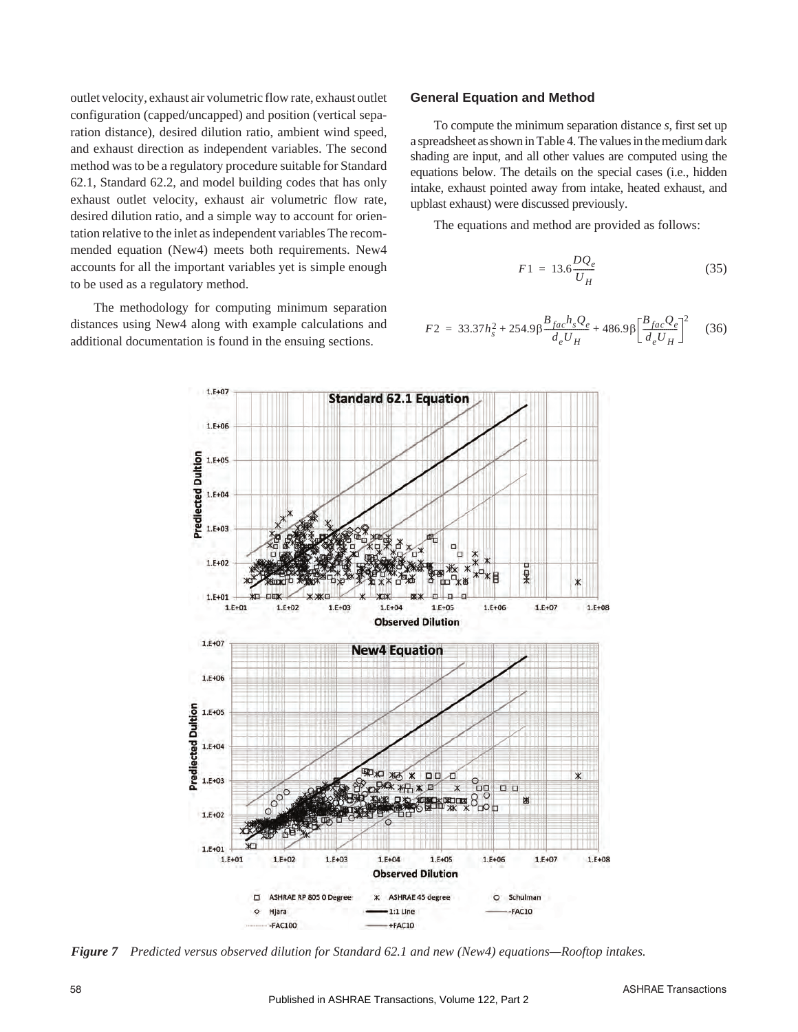outlet velocity, exhaust air volumetric flow rate, exhaust outlet configuration (capped/uncapped) and position (vertical separation distance), desired dilution ratio, ambient wind speed, and exhaust direction as independent variables. The second method was to be a regulatory procedure suitable for Standard 62.1, Standard 62.2, and model building codes that has only exhaust outlet velocity, exhaust air volumetric flow rate, desired dilution ratio, and a simple way to account for orientation relative to the inlet as independent variables The recommended equation (New4) meets both requirements. New4 accounts for all the important variables yet is simple enough to be used as a regulatory method.

The methodology for computing minimum separation distances using New4 along with example calculations and additional documentation is found in the ensuing sections.

#### **General Equation and Method**

To compute the minimum separation distance *s*, first set up a spreadsheet as shown in Table 4. The values in the medium dark shading are input, and all other values are computed using the equations below. The details on the special cases (i.e., hidden intake, exhaust pointed away from intake, heated exhaust, and upblast exhaust) were discussed previously.

The equations and method are provided as follows:

$$
F1 = 13.6 \frac{DQ_e}{U_H} \tag{35}
$$

$$
F2 = 33.37h_s^2 + 254.9\beta \frac{B_{fac}h_s Q_e}{d_e U_H} + 486.9\beta \left[\frac{B_{fac} Q_e}{d_e U_H}\right]^2 \tag{36}
$$



*Figure 7 Predicted versus observed dilution for Standard 62.1 and new (New4) equations—Rooftop intakes.*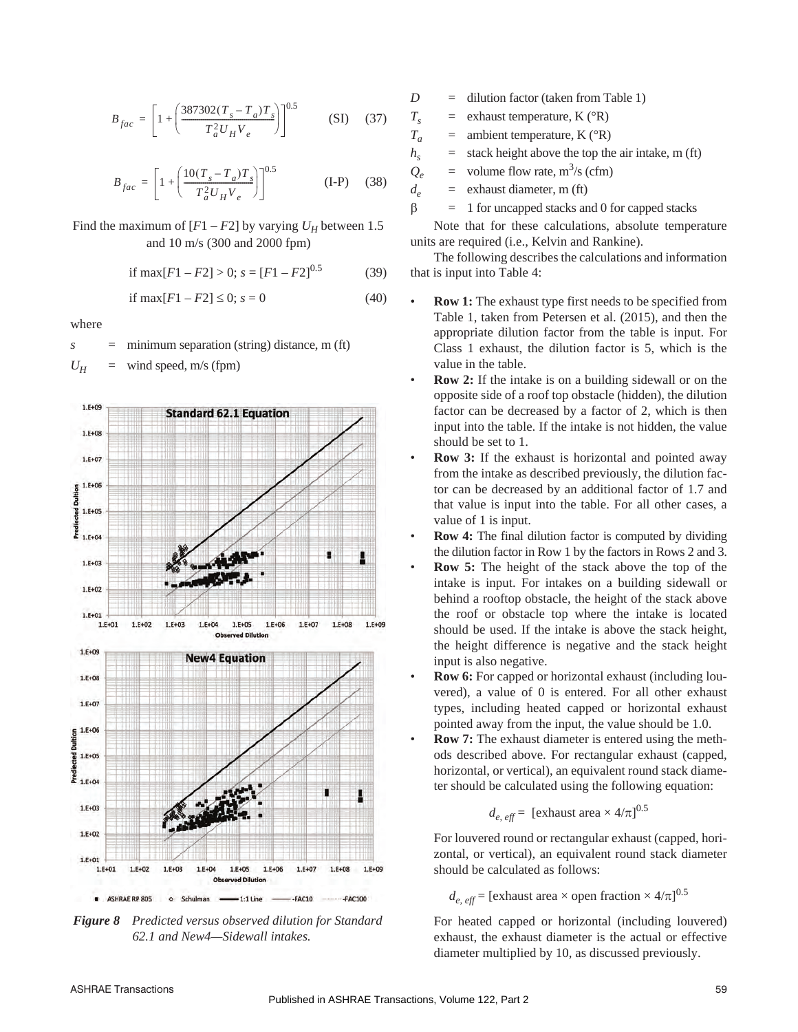$$
B_{fac} = \left[1 + \left(\frac{387302(T_s - T_a)T_s}{T_a^2 U_H V_e}\right)\right]^{0.5}
$$
 (SI) (37)

$$
B_{fac} = \left[1 + \left(\frac{10(T_s - T_a)T_s}{T_a^2 U_H V_e}\right)\right]^{0.5}
$$
 (I-P) (38)

Find the maximum of  $[F1 - F2]$  by varying  $U_H$  between 1.5 and 10 m/s (300 and 2000 fpm)

if max
$$
[F1 - F2] > 0
$$
;  $s = [F1 - F2]^{0.5}$  (39)

if 
$$
\max[F1 - F2] \le 0
$$
;  $s = 0$  (40)

where

*s* = minimum separation (string) distance, m (ft)

 $U_H$  = wind speed, m/s (fpm)



*Figure 8 Predicted versus observed dilution for Standard 62.1 and New4—Sidewall intakes.*

- *D* = dilution factor (taken from Table 1)
- $T_s$  = exhaust temperature, K ( ${}^{\circ}R$ )
- $T_a$  = ambient temperature, K ( ${}^{\circ}R$ )
- $h<sub>s</sub>$  = stack height above the top the air intake, m (ft)
- $Q_e$  = volume flow rate, m<sup>3</sup>/s (cfm)
- $d_e$  = exhaust diameter, m (ft)

 $\beta$  = 1 for uncapped stacks and 0 for capped stacks

Note that for these calculations, absolute temperature units are required (i.e., Kelvin and Rankine).

The following describes the calculations and information that is input into Table 4:

- **Row 1:** The exhaust type first needs to be specified from Table 1, taken from Petersen et al. (2015), and then the appropriate dilution factor from the table is input. For Class 1 exhaust, the dilution factor is 5, which is the value in the table.
- **Row 2:** If the intake is on a building sidewall or on the opposite side of a roof top obstacle (hidden), the dilution factor can be decreased by a factor of 2, which is then input into the table. If the intake is not hidden, the value should be set to 1.
- **Row 3:** If the exhaust is horizontal and pointed away from the intake as described previously, the dilution factor can be decreased by an additional factor of 1.7 and that value is input into the table. For all other cases, a value of 1 is input.
- **Row 4:** The final dilution factor is computed by dividing the dilution factor in Row 1 by the factors in Rows 2 and 3.
- **Row 5:** The height of the stack above the top of the intake is input. For intakes on a building sidewall or behind a rooftop obstacle, the height of the stack above the roof or obstacle top where the intake is located should be used. If the intake is above the stack height, the height difference is negative and the stack height input is also negative.
- **Row 6:** For capped or horizontal exhaust (including louvered), a value of 0 is entered. For all other exhaust types, including heated capped or horizontal exhaust pointed away from the input, the value should be 1.0.
- **Row 7:** The exhaust diameter is entered using the methods described above. For rectangular exhaust (capped, horizontal, or vertical), an equivalent round stack diameter should be calculated using the following equation:

$$
d_{e, \text{ eff}} =
$$
 [exhaust area × 4/ $\pi$ ]<sup>0.5</sup>

For louvered round or rectangular exhaust (capped, horizontal, or vertical), an equivalent round stack diameter should be calculated as follows:

 $d_{e, \text{ eff}}$  = [exhaust area  $\times$  open fraction  $\times$  4/ $\pi$ ]<sup>0.5</sup>

For heated capped or horizontal (including louvered) exhaust, the exhaust diameter is the actual or effective diameter multiplied by 10, as discussed previously.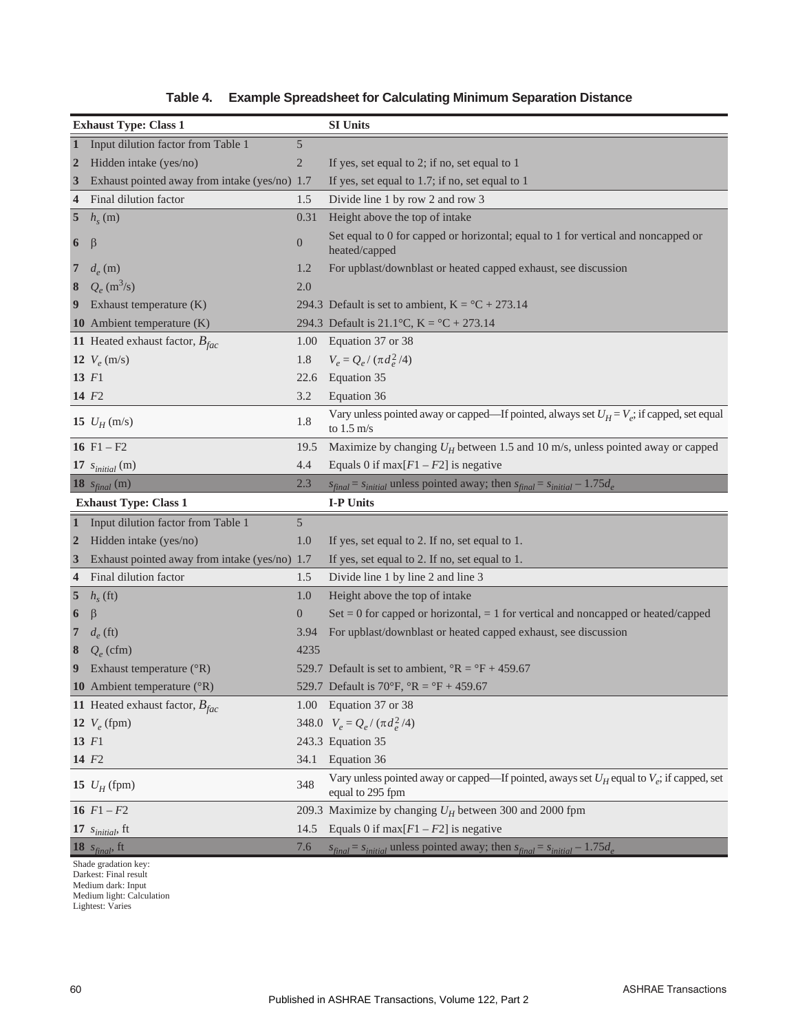|                  | <b>Exhaust Type: Class 1</b>                  |                  | <b>SI Units</b>                                                                                                      |
|------------------|-----------------------------------------------|------------------|----------------------------------------------------------------------------------------------------------------------|
| $\mathbf{1}$     | Input dilution factor from Table 1            | $\mathfrak s$    |                                                                                                                      |
| $\overline{2}$   | Hidden intake (yes/no)                        | $\overline{2}$   | If yes, set equal to 2; if no, set equal to 1                                                                        |
| $\mathbf{3}$     | Exhaust pointed away from intake (yes/no) 1.7 |                  | If yes, set equal to 1.7; if no, set equal to 1                                                                      |
| $\overline{4}$   | Final dilution factor                         | 1.5              | Divide line 1 by row 2 and row 3                                                                                     |
| $\sqrt{5}$       | $h_s(m)$                                      | 0.31             | Height above the top of intake                                                                                       |
| 6                | $\beta$                                       | $\boldsymbol{0}$ | Set equal to 0 for capped or horizontal; equal to 1 for vertical and noncapped or<br>heated/capped                   |
| $\overline{7}$   | $d_e$ (m)                                     | 1.2              | For upblast/downblast or heated capped exhaust, see discussion                                                       |
| 8                | $Q_e$ (m <sup>3</sup> /s)                     | 2.0              |                                                                                                                      |
| 9                | Exhaust temperature (K)                       |                  | 294.3 Default is set to ambient, $K = {}^{\circ}C + 273.14$                                                          |
|                  | 10 Ambient temperature (K)                    |                  | 294.3 Default is 21.1°C, $K =$ °C + 273.14                                                                           |
|                  | 11 Heated exhaust factor, $B_{fac}$           | 1.00             | Equation 37 or 38                                                                                                    |
|                  | 12 $V_e$ (m/s)                                | 1.8              | $V_e = Q_e / (\pi d_e^2 / 4)$                                                                                        |
|                  | $13$ $F1$                                     | 22.6             | Equation 35                                                                                                          |
|                  | 14 F <sub>2</sub>                             | 3.2              | Equation 36                                                                                                          |
|                  | 15 $U_H$ (m/s)                                | 1.8              | Vary unless pointed away or capped—If pointed, always set $U_H = V_e$ ; if capped, set equal<br>to $1.5 \text{ m/s}$ |
|                  | 16 $F1 - F2$                                  | 19.5             | Maximize by changing $U_H$ between 1.5 and 10 m/s, unless pointed away or capped                                     |
|                  | 17 $s_{initial}$ (m)                          | 4.4              | Equals 0 if max $[F1 - F2]$ is negative                                                                              |
|                  | <b>18</b> $s_{final}$ (m)                     | 2.3              | $s_{final} = s_{initial}$ unless pointed away; then $s_{final} = s_{initial} - 1.75d_e$                              |
|                  |                                               |                  |                                                                                                                      |
|                  | <b>Exhaust Type: Class 1</b>                  |                  | I-P Units                                                                                                            |
|                  | 1 Input dilution factor from Table 1          | 5                |                                                                                                                      |
| $\overline{2}$   | Hidden intake (yes/no)                        | 1.0              | If yes, set equal to 2. If no, set equal to 1.                                                                       |
| $\boldsymbol{3}$ | Exhaust pointed away from intake (yes/no) 1.7 |                  | If yes, set equal to 2. If no, set equal to 1.                                                                       |
| $\overline{4}$   | Final dilution factor                         | 1.5              | Divide line 1 by line 2 and line 3                                                                                   |
| $\overline{5}$   | $h_{s}$ (ft)                                  | 1.0              | Height above the top of intake                                                                                       |
| 6                | $\beta$                                       | $\boldsymbol{0}$ | Set = 0 for capped or horizontal, = 1 for vertical and noncapped or heated/capped                                    |
| $\overline{7}$   | $d_e$ (ft)                                    | 3.94             | For upblast/downblast or heated capped exhaust, see discussion                                                       |
| 8                | $Q_e$ (cfm)                                   | 4235             |                                                                                                                      |
| 9                | Exhaust temperature (°R)                      |                  | 529.7 Default is set to ambient, ${}^{\circ}R = {}^{\circ}F + 459.67$                                                |
|                  | 10 Ambient temperature $({}^{\circ}R)$        |                  | 529.7 Default is 70°F, °R = °F + 459.67                                                                              |
|                  | 11 Heated exhaust factor, $B_{fac}$           |                  | 1.00 Equation 37 or 38                                                                                               |
|                  | 12 $V_e$ (fpm)                                |                  | 348.0 $V_e = Q_e / (\pi d_e^2 / 4)$                                                                                  |
|                  | $13$ $F1$                                     |                  | 243.3 Equation 35                                                                                                    |
|                  | 14 F <sub>2</sub>                             | 34.1             | Equation 36                                                                                                          |
|                  | <b>15</b> $U_H$ (fpm)                         | 348              | Vary unless pointed away or capped—If pointed, aways set $U_H$ equal to $V_e$ ; if capped, set<br>equal to 295 fpm   |
|                  | 16 $F1 - F2$                                  |                  | 209.3 Maximize by changing $U_H$ between 300 and 2000 fpm                                                            |
|                  | 17 $s_{initial}$ , ft                         | 14.5             | Equals 0 if max $[F1 - F2]$ is negative                                                                              |
|                  | 18 $s_{final}$ , ft                           | 7.6              | $s_{final} = s_{initial}$ unless pointed away; then $s_{final} = s_{initial} - 1.75d_e$                              |

**Table 4. Example Spreadsheet for Calculating Minimum Separation Distance**

Darkest: Final result Medium dark: Input Medium light: Calculation Lightest: Varies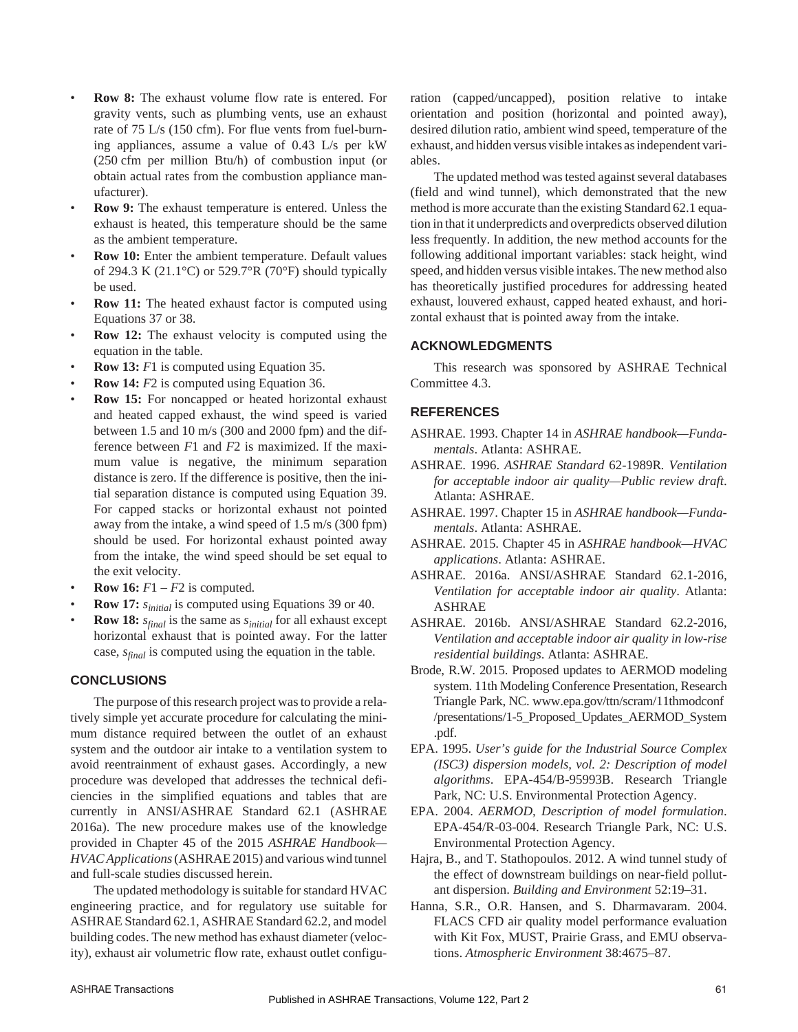- **Row 8:** The exhaust volume flow rate is entered. For gravity vents, such as plumbing vents, use an exhaust rate of 75 L/s (150 cfm). For flue vents from fuel-burning appliances, assume a value of 0.43 L/s per kW (250 cfm per million Btu/h) of combustion input (or obtain actual rates from the combustion appliance manufacturer).
- **Row 9:** The exhaust temperature is entered. Unless the exhaust is heated, this temperature should be the same as the ambient temperature.
- **Row 10:** Enter the ambient temperature. Default values of 294.3 K (21.1°C) or 529.7°R (70°F) should typically be used.
- **Row 11:** The heated exhaust factor is computed using Equations 37 or 38.
- **Row 12:** The exhaust velocity is computed using the equation in the table.
- **Row 13:** *F*1 is computed using Equation 35.
- **Row 14:** *F2* is computed using Equation 36.
- **Row 15:** For noncapped or heated horizontal exhaust and heated capped exhaust, the wind speed is varied between 1.5 and 10 m/s (300 and 2000 fpm) and the difference between *F*1 and *F*2 is maximized. If the maximum value is negative, the minimum separation distance is zero. If the difference is positive, then the initial separation distance is computed using Equation 39. For capped stacks or horizontal exhaust not pointed away from the intake, a wind speed of 1.5 m/s (300 fpm) should be used. For horizontal exhaust pointed away from the intake, the wind speed should be set equal to the exit velocity.
- **Row 16:**  $F1 F2$  is computed.
- **Row 17:** *sinitial* is computed using Equations 39 or 40.
- **Row 18:** *sfinal* is the same as *sinitial* for all exhaust except horizontal exhaust that is pointed away. For the latter case, *sfinal* is computed using the equation in the table.

# **CONCLUSIONS**

The purpose of this research project was to provide a relatively simple yet accurate procedure for calculating the minimum distance required between the outlet of an exhaust system and the outdoor air intake to a ventilation system to avoid reentrainment of exhaust gases. Accordingly, a new procedure was developed that addresses the technical deficiencies in the simplified equations and tables that are currently in ANSI/ASHRAE Standard 62.1 (ASHRAE 2016a). The new procedure makes use of the knowledge provided in Chapter 45 of the 2015 *ASHRAE Handbook— HVAC Applications*(ASHRAE 2015) and various wind tunnel and full-scale studies discussed herein.

The updated methodology is suitable for standard HVAC engineering practice, and for regulatory use suitable for ASHRAE Standard 62.1, ASHRAE Standard 62.2, and model building codes. The new method has exhaust diameter (velocity), exhaust air volumetric flow rate, exhaust outlet configuration (capped/uncapped), position relative to intake orientation and position (horizontal and pointed away), desired dilution ratio, ambient wind speed, temperature of the exhaust, and hidden versus visible intakes as independent variables.

The updated method was tested against several databases (field and wind tunnel), which demonstrated that the new method is more accurate than the existing Standard 62.1 equation in that it underpredicts and overpredicts observed dilution less frequently. In addition, the new method accounts for the following additional important variables: stack height, wind speed, and hidden versus visible intakes. The new method also has theoretically justified procedures for addressing heated exhaust, louvered exhaust, capped heated exhaust, and horizontal exhaust that is pointed away from the intake.

# **ACKNOWLEDGMENTS**

This research was sponsored by ASHRAE Technical Committee 4.3.

# **REFERENCES**

- ASHRAE. 1993. Chapter 14 in *ASHRAE handbook—Fundamentals*. Atlanta: ASHRAE.
- ASHRAE. 1996. *ASHRAE Standard* 62-1989R*. Ventilation for acceptable indoor air quality—Public review draft*. Atlanta: ASHRAE.
- ASHRAE. 1997. Chapter 15 in *ASHRAE handbook—Fundamentals*. Atlanta: ASHRAE.
- ASHRAE. 2015. Chapter 45 in *ASHRAE handbook—HVAC applications*. Atlanta: ASHRAE.
- ASHRAE. 2016a. ANSI/ASHRAE Standard 62.1-2016*, Ventilation for acceptable indoor air quality*. Atlanta: ASHRAE
- ASHRAE. 2016b. ANSI/ASHRAE Standard 62.2-2016, *Ventilation and acceptable indoor air quality in low-rise residential buildings*. Atlanta: ASHRAE.
- Brode, R.W. 2015. Proposed updates to AERMOD modeling system. 11th Modeling Conference Presentation, Research Triangle Park, NC. www.epa.gov/ttn/scram/11thmodconf /presentations/1-5\_Proposed\_Updates\_AERMOD\_System .pdf.
- EPA. 1995. *User's guide for the Industrial Source Complex (ISC3) dispersion models, vol. 2: Description of model algorithms*. EPA-454/B-95993B. Research Triangle Park, NC: U.S. Environmental Protection Agency.
- EPA. 2004. *AERMOD, Description of model formulation*. EPA-454/R-03-004. Research Triangle Park, NC: U.S. Environmental Protection Agency.
- Hajra, B., and T. Stathopoulos. 2012. A wind tunnel study of the effect of downstream buildings on near-field pollutant dispersion. *Building and Environment* 52:19–31.
- Hanna, S.R., O.R. Hansen, and S. Dharmavaram. 2004. FLACS CFD air quality model performance evaluation with Kit Fox, MUST, Prairie Grass, and EMU observations. *Atmospheric Environment* 38:4675–87.